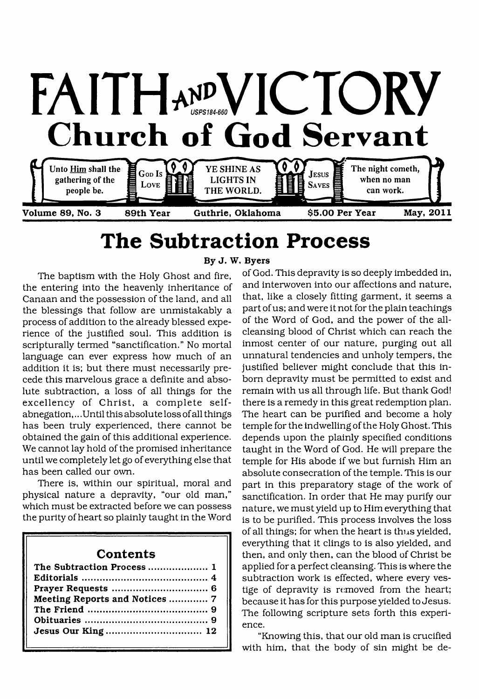

# <span id="page-0-0"></span>**The Subtraction Process**

The baptism with the Holy Ghost and fire, the entering into the heavenly inheritance of Canaan and the possession of the land, and all the blessings that follow are unmistakably a process of addition to the already blessed experience of the justified soul. This addition is scripturally termed "sanctification." No mortal language can ever express how much of an addition it is; but there must necessarily precede this marvelous grace a definite and absolute subtraction, a loss of all things for the excellency of Christ, a complete selfabnegation, .. .Until this absolute loss of all things has been truly experienced, there cannot be obtained the gain of this additional experience. We cannot lay hold of the promised inheritance until we completely let go of everything else that has been called our own.

There is, within our spiritual, moral and physical nature a depravity, "our old man," which must be extracted before we can possess the purity of heart so plainly taught in the Word

#### **Contents**

| Meeting Reports and Notices  7 |  |
|--------------------------------|--|
|                                |  |
|                                |  |
|                                |  |
|                                |  |

#### **By J. W. Byers**

of God. This depravity is so deeply imbedded in, and interwoven into our affections and nature, that, like a closely fitting garment, it seems a part of us; and were it not for the plain teachings of the Word of God, and the power of the allcleansing blood of Christ which can reach the inmost center of our nature, purging out all unnatural tendencies and unholy tempers, the justified believer might conclude that this inborn depravity must be permitted to exist and remain with us all through life. But thank God! there is a remedy in this great redemption plan. The heart can be purified and become a holy temple for the indwelling of the Holy Ghost. This depends upon the plainly specified conditions taught in the Word of God. He will prepare the temple for His abode if we but furnish Him an absolute consecration of the temple. This is our part in this preparatory stage of the work of sanctification. In order that He may purify our nature, we must yield up to Him everything that is to be purified. This process involves the loss of all things; for when the heart is thus yielded, everything that it clings to is also yielded, and then, and only then, can the blood of Christ be applied for a perfect cleansing. This is where the subtraction work is effected, where every vestige of depravity is removed from the heart; because it has for this purpose yielded to Jesus. The following scripture sets forth this experience.

"Knowing this, that our old man is crucified with him, that the body of sin might be de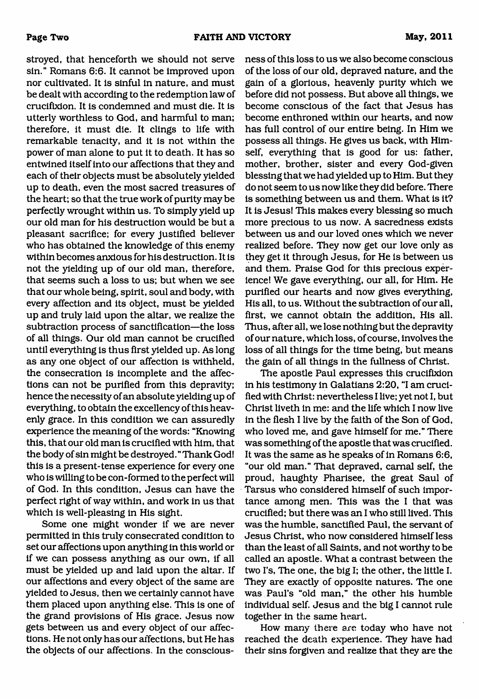stroyed, that henceforth we should not serve sin." Romans 6:6. It cannot be improved upon nor cultivated. It is sinful in nature, and must be dealt with according to the redemption law of crucifixion. It is condemned and must die. It is utterly worthless to God, and harmful to man; therefore, it must die. It clings to life with remarkable tenacity, and it is not within the power of man alone to put it to death. It has so entwined itself into our affections that they and each of their objects must be absolutely yielded up to death, even the most sacred treasures of the heart; so that the true work of purity may be perfectly wrought within us. To simply yield up our old man for his destruction would be but a pleasant sacrifice; for every justified believer who has obtained the knowledge of this enemy within becomes anxious for his destruction. It is not the yielding up of our old man, therefore, that seems such a loss to us; but when we see that our whole being, spirit, soul and body, with every affection and its object, must be yielded up and truly laid upon the altar, we realize the subtraction process of sanctification—the loss of all things. Our old man cannot be crucified until everything is thus first yielded up. As long as any one object of our affection is withheld, the consecration is incomplete and the affections can not be purified from this depravity; hence the necessity of an absolute yielding up of everything, to obtain the excellency of this heavenly grace. In this condition we can assuredly experience the meaning of the words: "Knowing this, that our old man is crucified with him, that the body of sin might be destroyed." Thank God! this is a present-tense experience for every one who is willing to be con-formed to the perfect will of God. In this condition, Jesus can have the perfect right of way within, and work in us that which is well-pleasing in His sight.

Some one might wonder if we are never permitted in this truly consecrated condition to set our affections upon anything in this world or if we can possess anything as our own, if all must be yielded up and laid upon the altar. If our affections and every object of the same are yielded to Jesus, then we certainly cannot have them placed upon anything else. This is one of the grand provisions of His grace. Jesus now gets between us and every object of our affections. He not only has our affections, but He has the objects of our affections. In the consciousness of this loss to us we also become conscious of the loss of our old, depraved nature, and the gain of a glorious, heavenly purity which we before did not possess. But above all things, we become conscious of the fact that Jesus has become enthroned within our hearts, and now has full control of our entire being. In Him we possess all things. He gives us back, with Himself, everything that is good for us: father, mother, brother, sister and every God-given blessing that we had yielded up to Him. But they do not seem to us now like they did before. There is something between us and them. What is it? It is Jesus! This makes every blessing so much more precious to us now. A sacredness exists between us and our loved ones which we never realized before. They now get our love only as they get it through Jesus, for He is between us and them. Praise God for this precious experience! We gave everything, our all, for Him. He purified our hearts and now gives everything, His all, to us. Without the subtraction of our all, first, we cannot obtain the addition, His all. Thus, after all, we lose nothing but the depravity of our nature, which loss, of course, involves the loss of all things for the time being, but means the gain of all things in the fullness of Christ.

The apostle Paul expresses this crucifixion in his testimony in Galatians 2:20, "I am crucified with Christ: nevertheless I live; yet not I, but Christ liveth in me: and the life which I now live in the flesh I live by the faith of the Son of God, who loved me, and gave himself for me." There was something of the apostle that was crucified. It was the same as he speaks of in Romans 6:6, "our old man." That depraved, carnal self, the proud, haughty Pharisee, the great Saul of Tarsus who considered himself of such importance among men. This was the I that was crucified; but there was an I who still lived. This was the humble, sanctified Paul, the servant of Jesus Christ, who now considered himself less than the least of all Saints, and not worthy to be called an apostle. What a contrast between the two I's, The one, the big I; the other, the little I. They are exactly of opposite natures. The one was Paul's "old man," the other his humble individual self. Jesus and the big I cannot rule together in the same heart.

How many there are today who have not reached the death experience. They have had their sins forgiven and realize that they are the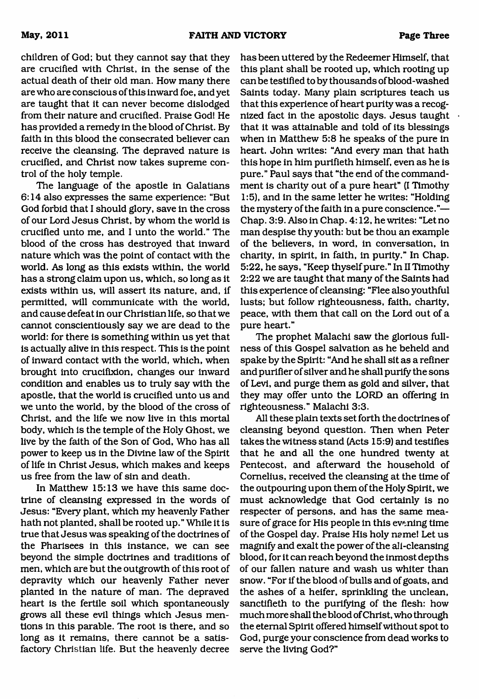children of God; but they cannot say that they are crucified with Christ, in the sense of the actual death of their old man. How many there are who are conscious of this inward foe, and yet are taught that it can never become dislodged from their nature and crucified. Praise God! He has provided a remedy in the blood of Christ. By faith in this blood the consecrated believer can receive the cleansing. The depraved nature is crucified, and Christ now takes supreme control of the holy temple.

The language of the apostle in Galatians 6:14 also expresses the same experience: "But God forbid that I should glory, save in the cross of our Lord Jesus Christ, by whom the world is crucified unto me, and I unto the world." The blood of the cross has destroyed that inward nature which was the point of contact with the world. As long as this exists within, the world has a strong claim upon us, which, so long as it exists within us, will assert its nature, and, if permitted, will communicate with the world, and cause defeat in our Christian life, so that we cannot conscientiously say we are dead to the world: for there is something within us yet that is actually alive in this respect. This is the point of inward contact with the world, which, when brought into crucifixion, changes our inward condition and enables us to truly say with the apostle, that the world is crucified unto us and we unto the world, by the blood of the cross of Christ, and the life we now live in this mortal body, which is the temple of the Holy Ghost, we live by the faith of the Son of God, Who has all power to keep us in the Divine law of the Spirit of life in Christ Jesus, which makes and keeps us free from the law of sin and death.

In Matthew 15:13 we have this same doctrine of cleansing expressed in the words of Jesus: "Every plant, which my heavenly Father hath not planted, shall be rooted up." While it is true that Jesus was speaking of the doctrines of the Pharisees in this instance, we can see beyond the simple doctrines and traditions of men, which are but the outgrowth of this root of depravity which our heavenly Father never planted in the nature of man. The depraved heart is the fertile soil which spontaneously grows all these evil things which Jesus mentions in this parable. The root is there, and so long as it remains, there cannot be a satisfactory Christian life. But the heavenly decree has been uttered by the Redeemer Himself, that this plant shall be rooted up, which rooting up can be testified to by thousands of blood-washed Saints today. Many plain scriptures teach us that this experience of heart purity was a recognized fact in the apostolic days. Jesus taught that it was attainable and told of its blessings when in Matthew 5:8 he speaks of the pure in heart. John writes: "And every man that hath this hope in him purifieth himself, even as he is pure." Paul says that "the end of the commandment is charity out of a pure heart" (I Timothy 1:5), and in the same letter he writes: "Holding the mystery of the faith in a pure conscience."— Chap. 3:9. Also in Chap. 4:12, he writes: "Let no man despise thy youth: but be thou an example of the believers, in word, in conversation, in charity, in spirit, in faith, in purity." In Chap. 5:22, he says, "Keep thyself pure." In II Timothy 2:22 we are taught that many of the Saints had this experience of cleansing: "Flee also youthful lusts; but follow righteousness, faith, charity, peace, with them that call on the Lord out of a pure heart."

The prophet Malachi saw the glorious fullness of this Gospel salvation as he beheld and spake by the Spirit: "And he shall sit as a refiner and purifier of silver and he shall purify the sons of Levi, and purge them as gold and silver, that they may offer unto the LORD an offering in righteousness." Malachi 3:3.

All these plain texts set forth the doctrines of cleansing beyond question. Then when Peter takes the witness stand (Acts 15:9) and testifies that he and all the one hundred twenty at Pentecost, and afterward the household of Cornelius, received the cleansing at the time of the outpouring upon them of the Holy Spirit, we must acknowledge that God certainly is no respecter of persons, and has the same measure of grace for His people in this evening time of the Gospel day. Praise His holy name! Let us magnify and exalt the power of the all-cleansing blood, for it can reach beyond the inmost depths of our fallen nature and wash us whiter than snow. "For if the blood of bulls and of goats, and the ashes of a heifer, sprinkling the unclean, sanctifieth to the purifying of the flesh: how much more shall the blood of Christ, who through the eternal Spirit offered himself without spot to God, purge your conscience from dead works to serve the living God?"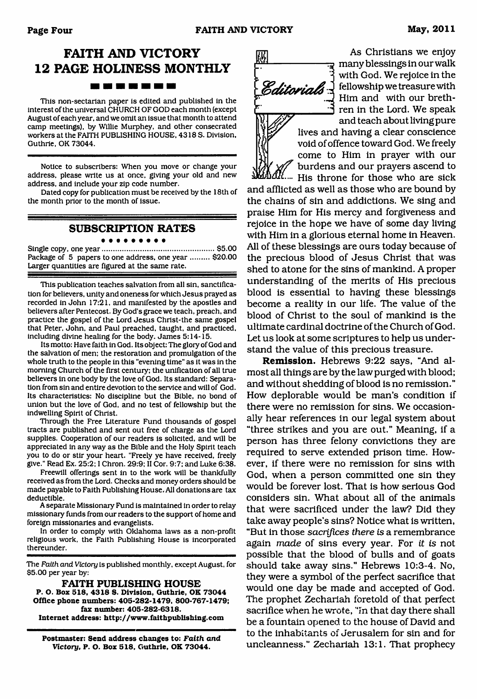## **FAITH AND VICTORY 12 PAGE HOLINESS MONTHLY**

This non-sectarian paper is edited and published in the interest of the universal CHURCH OF GOD each month (except August of each year, and we omit an issue that month to attend camp meetings), by Willie Murphey, and other consecrated workers at the FAITH PUBLISHING HOUSE, 4318 S. Division, Guthrie, OK 73044.

Notice to subscribers: When you move or change your address, please write us at once, giving your old and new address, and include your zip code number.

Dated copy for publication must be received by the 18th of the month prior to the month of issue.

#### **SUBSCRIPTION RATES** . . . . . . . . .

Single copy, one year......................................................\$5.00 Package of 5 papers to one address, one year ......... \$20.00 Larger quantities are figured at the same rate.

This publication teaches salvation from all sin, sanctification for believers, unity and oneness for which Jesus prayed as recorded in John 17:21, and manifested by the apostles and believers after Pentecost. By God's grace we teach, preach, and practice the gospel of the Lord Jesus Christ-the same gospel that Peter. John, and Paul preached, taught, and practiced, including divine healing for the body. James 5:14-15.

Its motto: Have faith in God. Its object: The glory of God and the salvation of men; the restoration and promulgation of the whole truth to the people in this "evening time" as it was in the morning Church of the first century: the unification of all true believers in one body by the love of God. Its standard: Separation from sin and entire devotion to the service and will of God. Its characteristics: No discipline but the Bible, no bond of union but the love of God, and no test of fellowship but the indwelling Spirit of Christ.

Through the Free Literature Fund thousands of gospel tracts are published and sent out free of charge as the Lord supplies. Cooperation of our readers is solicited, and will be appreciated in any way as the Bible and the Holy Spirit teach you to do or stir your heart. "Freely ye have received, freely give." Read Ex. 25:2; I Chron. 29:9; II Cor. 9:7: and Luke 6:38.

Freewill offerings sent in to the work will be thankfully received as from the Lord. Checks and money orders should be made payable to Faith Publishing House. All donations are tax deductible.

A separate Missionary Fund is maintained in order to relay missionary funds from our readers to the support of home and foreign missionaries and evangelists.

In order to comply with Oklahoma laws as a non-profit religious work, the Faith Publishing House is incorporated thereunder.

The *Faith and Victory* is published monthly, except August, for \$5.00 per year by:

**FAITH PUBLISHING HOUSE P. O. Box 518, 4318 S. Division, Guthrie, OK 73044 Office phone numbers: 405-282-1479, 800-767-1479; fax number: 405-282-6318. Internet address: <http://www.faithpublishing.com>**

**Postmaster: Send address changes to:** *Faith and Victory,* **P. O. Box 518, Guthrie, OK 73044.**

网 Editorials

As Christians we enjoy many blessings in our walk with God. We rejoice in the fellowship we treasure with Him and with our brethren in the Lord. We speak and teach about living pure

lives and having a clear conscience void of offence toward God. We freely come to Him in prayer with our burdens and our prayers ascend to His throne for those who are sick

and afflicted as well as those who are bound by the chains of sin and addictions. We sing and praise Him for His mercy and forgiveness and rejoice in the hope we have of some day living with Him in a glorious eternal home in Heaven. All of these blessings are ours today because of the precious blood of Jesus Christ that was shed to atone for the sins of mankind. A proper understanding of the merits of His precious blood is essential to having these blessings become a reality in our life. The value of the blood of Christ to the soul of mankind is the ultimate cardinal doctrine of the Church of God. Let us look at some scriptures to help us understand the value of this precious treasure.

**Remission.** Hebrews 9:22 says, "And almost all things are by the law purged with blood; and without shedding of blood is no remission." How deplorable would be man's condition if there were no remission for sins. We occasionally hear references in our legal system about "three strikes and you are out." Meaning, if a person has three felony convictions they are required to serve extended prison time. However, if there were no remission for sins with God, when a person committed one sin they would be forever lost. That is how serious God considers sin. What about all of the animals that were sacrificed under the law? Did they take away people's sins? Notice what is written, "But in those *sacrifices there is* a remembrance again *made* of sins every year. For *it is* not possible that the blood of bulls and of goats should take away sins." Hebrews 10:3-4. No, they were a symbol of the perfect sacrifice that would one day be made and accepted of God. The prophet Zechariah foretold of that perfect sacrifice when he wrote, "In that day there shall be a fountain opened to the house of David and to the inhabitants of Jerusalem for sin and for uncleanness." Zechariah 13:1. That prophecy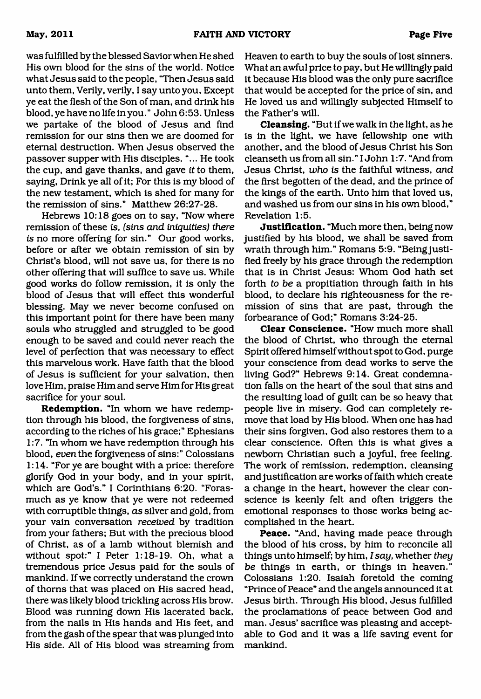was fulfilled by the blessed Savior when He shed His own blood for the sins of the world. Notice what Jesus said to the people, "Then Jesus said unto them, Verily, verily, I say unto you, Except ye eat the flesh of the Son of man, and drink his blood, ye have no life in you." John 6:53. Unless we partake of the blood of Jesus and find remission for our sins then we are doomed for eternal destruction. When Jesus observed the passover supper with His disciples,"... He took the cup, and gave thanks, and gave *it* to them, saying, Drink ye all of it; For this is my blood of the new testament, which is shed for many for the remission of sins." Matthew 26:27-28.

Hebrews 10:18 goes on to say, "Now where remission of these *is, (sins and iniquities) there is* no more offering for sin." Our good works, before or after we obtain remission of sin by Christ's blood, will not save us, for there is no other offering that will suffice to save us. While good works do follow remission, it is only the blood of Jesus that will effect this wonderful blessing. May we never become confused on this important point for there have been many souls who struggled and struggled to be good enough to be saved and could never reach the level of perfection that was necessary to effect this marvelous work. Have faith that the blood of Jesus is sufficient for your salvation, then love Him, praise Him and serve Him for His great sacrifice for your soul.

**Redemption.** "In whom we have redemption through his blood, the forgiveness of sins, according to the riches of his grace;" Ephesians 1:7. "In whom we have redemption through his blood, *even* the forgiveness of sins:" Colossians 1:14. "For ye are bought with a price: therefore glorify God in your body, and in your spirit, which are God's." I Corinthians 6:20. "Forasmuch as ye know that ye were not redeemed with corruptible things, *as* silver and gold, from your vain conversation *received* by tradition from your fathers; But with the precious blood of Christ, as of a lamb without blemish and without spot:" I Peter 1:18-19. Oh, what a tremendous price Jesus paid for the souls of mankind. If we correctly understand the crown of thorns that was placed on His sacred head, there was likely blood trickling across His brow. Blood was running down His lacerated back, from the nails in His hands and His feet, and from the gash of the spear that was plunged into His side. All of His blood was streaming from Heaven to earth to buy the souls of lost sinners. What an awful price to pay, but He willingly paid it because His blood was the only pure sacrifice that would be accepted for the price of sin, and He loved us and willingly subjected Himself to the Father's will.

**Cleansing.** "But if we walk in the light, as he is in the light, we have fellowship one with another, and the blood of Jesus Christ his Son cleanseth us from all sin." I John 1:7. "And from Jesus Christ, *who is* the faithful witness, *and* the first begotten of the dead, and the prince of the kings of the earth. Unto him that loved us, and washed us from our sins in his own blood," Revelation 1:5.

**Justification.** "Much more then, being now justified by his blood, we shall be saved from wrath through him." Romans 5:9. "Being justified freely by his grace through the redemption that is in Christ Jesus: Whom God hath set forth *to be* a propitiation through faith in his blood, to declare his righteousness for the remission of sins that are past, through the forbearance of God;'' Romans 3:24-25.

**Clear Conscience.** "How much more shall the blood of Christ, who through the eternal Spirit offered himself without spot to God, purge your conscience from dead works to serve the living God?" Hebrews 9:14. Great condemnation falls on the heart of the soul that sins and the resulting load of guilt can be so heavy that people live in misery. God can completely remove that load by His blood. When one has had their sins forgiven, God also restores them to a clear conscience. Often this is what gives a newborn Christian such a joyful, free feeling. The work of remission, redemption, cleansing and justification are works of faith which create a change in the heart, however the clear conscience is keenly felt and often triggers the emotional responses to those works being accomplished in the heart.

**Peace.** "And, having made peace through the blood of his cross, by him to reconcile all things unto himself; by him, *I say,* whether *they be* things in earth, or things in heaven." Colossians 1:20. Isaiah foretold the coming "Prince of Peace" and the angels announced it at Jesus birth. Through His blood, Jesus fulfilled the proclamations of peace between God and man. Jesus' sacrifice was pleasing and acceptable to God and it was a life saving event for mankind.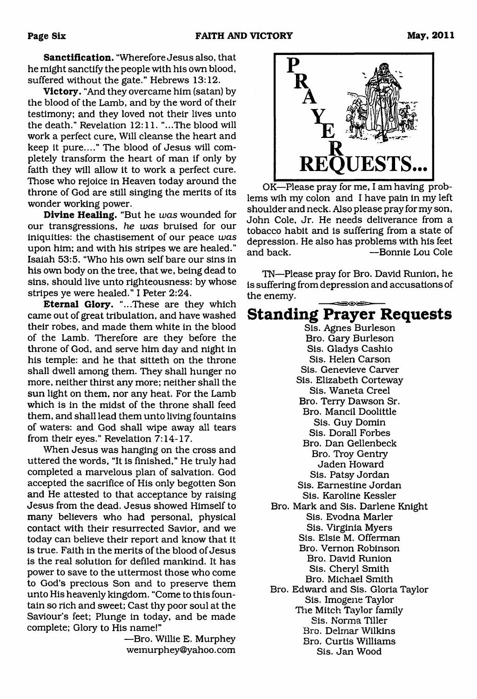**Sanctification.** "Wherefore Jesus also, that he might sanctify the people with his own blood, suffered without the gate." Hebrews 13:12.

**Victory.** "And they overcame him (satan) by the blood of the Lamb, and by the word of their testimony; and they loved not their lives unto the death." Revelation 12:11. "...The blood will work a perfect cure, Will cleanse the heart and keep it pure...." The blood of Jesus will completely transform the heart of man if only by faith they will allow it to work a perfect cure. Those who rejoice in Heaven today around the throne of God are still singing the merits of its wonder working power.

**Divine Healing.** "But he *was* wounded for our transgressions, *he was* bruised for our iniquities: the chastisement of our peace *was* upon him; and with his stripes we are healed." Isaiah 53:5. "Who his own self bare our sins in his own body on the tree, that we, being dead to sins, should live unto righteousness: by whose stripes ye were healed." I Peter 2:24.

**Eternal Glory.** "...These are they which came out of great tribulation, and have washed their robes, and made them white in the blood of the Lamb. Therefore are they before the throne of God, and serve him day and night in his temple: and he that sitteth on the throne shall dwell among them. They shall hunger no more, neither thirst any more; neither shall the sun light on them, nor any heat. For the Lamb which is in the midst of the throne shall feed them, and shall lead them unto living fountains of waters: and God shall wipe away all tears from their eyes." Revelation 7:14-17.

When Jesus was hanging on the cross and uttered the words, "It is finished," He truly had completed a marvelous plan of salvation. God accepted the sacrifice of His only begotten Son and He attested to that acceptance by raising Jesus from the dead. Jesus showed Himself to many believers who had personal, physical contact with their resurrected Savior, and we today can believe their report and know that it is true. Faith in the merits of the blood of Jesus is the real solution for defiled mankind. It has power to save to the uttermost those who come to God's precious Son and to preserve them unto His heavenly kingdom. "Come to this fountain so rich and sweet; Cast thy poor soul at the Saviour's feet; Plunge in today, and be made complete; Glory to His name!"

> —Bro. Willie E. Murphey [wemurphey@yahoo.com](mailto:wemurphey@yahoo.com)



OK—Please pray for me, I am having problems wih my colon and I have pain in my left shoulder and neck. Also please pray for my son, John Cole, Jr. He needs deliverance from a tobacco habit and is suffering from a state of depression. He also has problems with his feet and back. — — — — Bonnie Lou Cole

TN—Please pray for Bro. David Runiori, he is suffering from depression and accusations of the enemy.

### **Standing Prayer Requests**

Sis. Agnes Burleson Bro. Gary Burleson Sis. Gladys Cashio Sis. Helen Carson Sis. Genevieve Carver Sis. Elizabeth Corteway Sis. Waneta Creel Bro. Terry Dawson Sr. Bro. Mancil Doolittle Sis. Guy Domin Sis. Dorall Forbes Bro. Dan Gellenbeck Bro. Troy Gentry Jaden Howard Sis. Patsy Jordan Sis. Eamestine Jordan Sis. Karoline Kessler Bro. Mark and Sis. Darlene Knight Sis. Evodna Marler Sis. Virginia Myers Sis. Elsie M. Offerman Bro. Vernon Robinson Bro. David Runion Sis. Cheryl Smith Bro. Michael Smith Bro. Edward and Sis. Gloria Taylor Sis. Imogene Taylor The Mitch Taylor family Sis. Norma Tiller Bro. Delrnar Wilkins Bro. Curtis Williams Sis. Jan Wood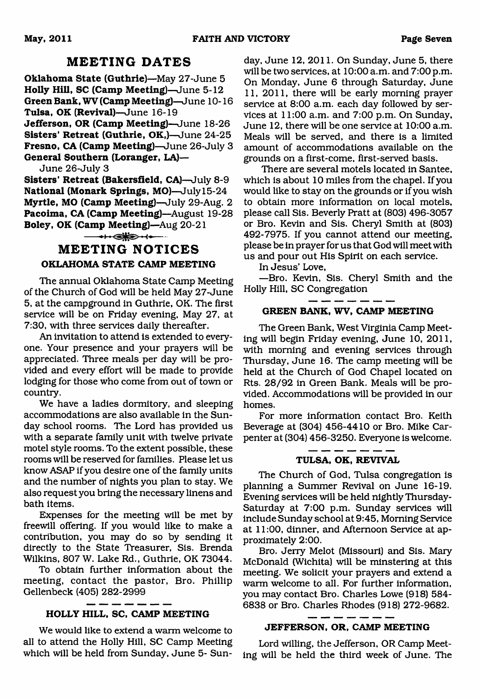#### **MEETING DATES**

**Oklahoma State (Guthrie)**—May 27-June 5 **Holly Hill, SC (Camp Meeting)**—June 5-12 **Green Bank, WV (Camp Meeting)**—June 10-16 **Tulsa, OK (Revival)**—June 16-19 **Jefferson, OR (Camp Meeting)**—June 18-26 **Sisters' Retreat (Guthrie, OK,)**—June 24-25 **Fresno, CA (Camp Meeting)**—June 26-July 3 **General Southern (Loranger, LA)—**

June 26-July 3

**Sisters' Retreat (Bakersfield, CA)**—July 8-9 **National (Monark Springs, MO)**—July 15-24 **Myrtle, MO (Camp Meeting)**—July 29-Aug. 2 Pacoima, CA (Camp Meeting)-August 19-28 **Boley, OK (Camp Meeting)**—Aug 20-21

 $-+$ 

### **MEETING NOTICES OKLAHOMA STATE CAMP MEETING**

The annual Oklahoma State Camp Meeting of the Church of God will be held May 27-June 5, at the campground in Guthrie, OK. The first service will be on Friday evening, May 27, at 7:30, with three services daily thereafter.

An invitation to attend is extended to everyone. Your presence and your prayers will be appreciated. Three meals per day will be provided and every effort will be made to provide lodging for those who come from out of town or country.

We have a ladies dormitory, and sleeping accommodations are also available in the Sunday school rooms. The Lord has provided us with a separate family unit with twelve private motel style rooms. To the extent possible, these rooms will be reserved for families. Please let us know ASAP if you desire one of the family units and the number of nights you plan to stay. We also request you bring the necessary linens and bath items.

Expenses for the meeting will be met by freewill offering. If you would like to make a contribution, you may do so by sending it directly to the State Treasurer, Sis. Brenda Wilkins, 807 W. Lake Rd., Guthrie, OK 73044.

To obtain further information about the meeting, contact the pastor, Bro. Phillip Gellenbeck (405) 282-2999

#### **HOLLY HILL, SC, CAMP MEETING**

We would like to extend a warm welcome to all to attend the Holly Hill, SC Camp Meeting which will be held from Sunday, June 5- Sunday, June 12, 2011. On Sunday, June 5, there will be two services, at 10:00 a.m. and 7:00 p.m. On Monday, June 6 through Saturday, June 11, 2011, there will be early morning prayer service at 8:00 a.m. each day followed by services at 11:00 a.m. and 7:00 p.m. On Sunday, June 12, there will be one service at 10:00 a.m. Meals will be served, and there is a limited amount of accommodations available on the grounds on a first-come, first-served basis.

There are several motels located in Santee, which is about 10 miles from the chapel. If you would like to stay on the grounds or if you wish to obtain more information on local motels, please call Sis. Beverly Pratt at (803) 496-3057 or Bro. Kevin and Sis. Cheryl Smith at (803) 492-7975. If you cannot attend our meeting, please be in prayer for us that God will meet with us and pour out His Spirit on each service.

In Jesus' Love,

—Bro. Kevin, Sis. Cheryl Smith and the Holly Hill, SC Congregation

#### **GREEN BANK, WV, CAMP MEETING**

The Green Bank, West Virginia Camp Meeting will begin Friday evening, June 10, 2011, with morning and evening services through Thursday, June 16. The camp meeting will be held at the Church of God Chapel located on Rts. 28/92 in Green Bank. Meals will be provided. Accommodations will be provided in our homes.

For more information contact Bro. Keith Beverage at (304) 456-4410 or Bro. Mike Carpenter at (304) 456-3250. Everyone is welcome.

#### ------**TULSA, OK, REVIVAL**

The Church of God, Tulsa congregation is planning a Summer Revival on June 16-19. Evening services will be held nightly Thursday-Saturday at 7:00 p.m. Sunday services will include Sunday school at 9:45, Morning Service at 11:00, dinner, and Afternoon Service at approximately 2:00.

Bro. Jerry Melot (Missouri) and Sis. Mary McDonald (Wichita) will be minstering at this meeting. We solicit your prayers and extend a warm welcome to all. For further information, you may contact Bro. Charles Lowe (918) 584- 6838 or Bro. Charles Rhodes (918) 272-9682.

#### **JEFFERSON, OR, CAMP MEETING**

Lord willing, the Jefferson, OR Camp Meeting will be held the third week of June. The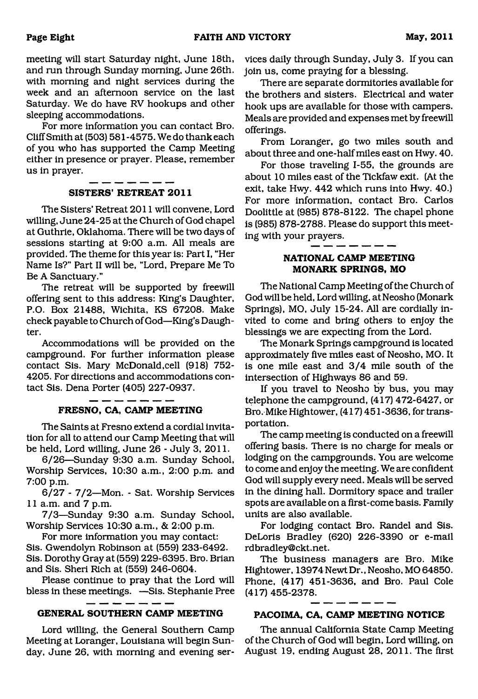meeting will start Saturday night, June 18th, and run through Sunday morning, June 26th. with morning and night services during the week and an afternoon service on the last Saturday. We do have RV hookups and other sleeping accommodations.

For more information you can contact Bro. Cliff Smith at (503) 581-4575. We do thank each of you who has supported the Camp Meeting either in presence or prayer. Please, remember us in prayer.

#### **SISTERS' RETREAT 2011**

The Sisters' Retreat 2011 will convene, Lord willing, June 24-25 at the Church of God chapel at Guthrie, Oklahoma. There will be two days of sessions starting at 9:00 a.m. All meals are provided. The theme for this year is: Part I, "Her Name Is?" Part II will be, "Lord, Prepare Me To Be A Sanctuary."

The retreat will be supported by freewill offering sent to this address: King's Daughter, P.O. Box 21488, Wichita, KS 67208. Make check payable to Church of God—King's Daughter.

Accommodations will be provided on the campground. For further information please contact Sis. Mary McDonald,cell (918) 752- 4205. For directions and accommodations contact Sis. Dena Porter (405) 227-0937.

#### **FRESNO, CA, CAMP MEETING**

The Saints at Fresno extend a cordial invitation for all to attend our Camp Meeting that will be held, Lord willing, June 26 - July 3, 2011.

6/26—Sunday 9:30 a.m. Sunday School, Worship Services, 10:30 a.m., 2:00 p.m. and 7:00 p.m.

6/27 - 7/2—Mon. - Sat. Worship Services 11 a.m. and 7 p.m.

7/3—Sunday 9:30 a.m. Sunday School, Worship Services 10:30 a.m., & 2:00 p.m.

For more information you may contact: Sis. Gwendolyn Robinson at (559) 233-6492. Sis. Dorothy Gray at (559) 229-6395. Bro. Brian and Sis. Sheri Rich at (559) 246-0604.

Please continue to pray that the Lord will bless in these meetings. —Sis. Stephanie Pree

#### **GENERAL SOUTHERN CAMP MEETING PACOIMA, CA, CAMP MEETING NOTICE**

\_ \_ \_ \_ \_ \_

Meeting at Loranger, Louisiana will begin Sun- of the Church of God will begin, Lord willing, on day, June 26, with morning and evening ser- August 19, ending August 28, 2011. The first

vices daily through Sunday, July 3. If you can join us, come praying for a blessing.

There are separate dormitories available for the brothers and sisters. Electrical and water hook ups are available for those with campers. Meals are provided and expenses met by freewill offerings.

From Loranger, go two miles south and about three and one-half miles east on Hwy. 40.

For those traveling 1-55, the grounds are about 10 miles east of the Tickfaw exit. (At the exit, take Hwy. 442 which runs into Hwy. 40.) For more information, contact Bro. Carlos Doolittle at (985) 878-8122. The chapel phone is (985) 878-2788. Please do support this meeting with your prayers.

#### **NATIONAL CAMP MEETING MONARK SPRINGS, MO**

The National Camp Meeting of the Church of God will be held, Lord willing, at Neosho (Monark Springs), MO, July 15-24. All are cordially invited to come and bring others to enjoy the blessings we are expecting from the Lord.

The Monark Springs campground is located approximately five miles east of Neosho, MO. It is one mile east and 3/4 mile south of the intersection of Highways 86 and 59.

If you travel to Neosho by bus, you may telephone the campground, (417) 472-6427, or Bro. Mike Hightower, (417) 451 -3636, for transportation.

The camp meeting is conducted on a freewill offering basis. There is no charge for meals or lodging on the campgrounds. You are welcome to come and enjoy the meeting. We are confident God will supply every need. Meals will be served in the dining hall. Dormitory space and trailer spots are available on a first-come basis. Family units are also available.

For lodging contact Bro. Randel and Sis. DeLoris Bradley (620) 226-3390 or e-mail [rdbradley@ckt.net.](mailto:rdbradley@ckt.net)

The business managers are Bro. Mike Hightower, 13974 Newt Dr., Neosho, MO 64850. Phone, (417) 451-3636, and Bro. Paul Cole (417) 455-2378.

\_\_\_\_\_\_\_

Lord willing, the General Southern Camp The annual California State Camp Meeting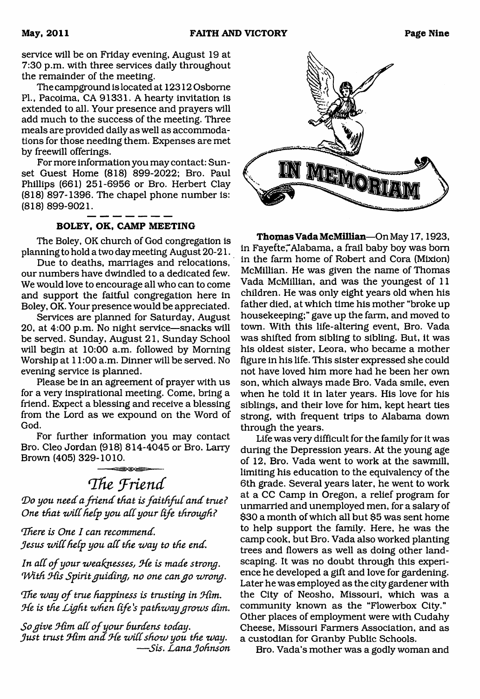service will be on Friday evening, August 19 at 7:30 p.m. with three services daily throughout the remainder of the meeting.

The campground is located at 12312 Osborne PL, Pacoima, CA 91331. A hearty invitation is extended to all. Your presence and prayers will add much to the success of the meeting. Three meals are provided daily as well as accommodations for those needing them. Expenses are met by freewill offerings.

For more information you may contact: Sunset Guest Home (818) 899-2022; Bro. Paul Phillips (661) 251-6956 or Bro. Herbert Clay (818) 897-1396. The chapel phone number is: (818) 899-9021.

#### **BOLEY, OK, CAMP MEETING**

The Boley, OK church of God congregation is planning to hold a two day meeting August 20-21.

Due to deaths, marriages and relocations, our numbers have dwindled to a dedicated few. We would love to encourage all who can to come and support the faitful congregation here in Boley, OK. Your presence would be appreciated.

Services are planned for Saturday, August 20, at 4:00 p.m. No night service—snacks will be served. Sunday, August 21, Sunday School will begin at 10:00 a.m. followed by Morning Worship at 11:00 a.m. Dinner will be served. No evening service is planned.

Please be in an agreement of prayer with us for a very inspirational meeting. Come, bring a friend. Expect a blessing and receive a blessing from the Lord as we expound on the Word of God.

For further information you may contact Bro. Cleo Jordan (918) 814-4045 or Bro. Larry Brown (405) 329-1010.

<span id="page-8-0"></span>*'The 'friend* Do you need a friend that is faithful and true? *One that will help you all your life through?* 

*'There is One I can recommend. Jesus wiCChelp you aCC the way to the end.*

In all of your weaknesses, He is made strong.<br>With His Spirit guiding, no one can go wrong.

The way of true happiness is trusting in Him. *(He is the Light when life's pathway grows dim.*

*So give Him all of your burdens today. Just trust (Him and (He wiCCshow you the way.* — *Sis. Lana Johnson*



**Thomas Vada McMillian**—On May 1**7**,1923, in Fayefte, Alabama, a frail baby boy was born in the farm home of Robert and Cora (Mixion) McMillian. He was given the name of Thomas Vada McMillian, and was the youngest of 11 children. He was only eight years old when his father died, at which time his mother "broke up housekeeping;" gave up the farm, and moved to town. With this life-altering event, Bro. Vada was shifted from sibling to sibling. But, it was his oldest sister, Leora, who became a mother figure in his life. This sister expressed she could not have loved him more had he been her own son, which always made Bro. Vada smile, even when he told it in later years. His love for his siblings, and their love for him, kept heart ties strong, with frequent trips to Alabama down through the years.

Life was very difficult for the family for it was during the Depression years. At the young age of 12, Bro. Vada went to work at the sawmill, limiting his education to the equivalency of the 6th grade. Several years later, he went to work at a CC Camp in Oregon, a relief program for unmarried and unemployed men, for a salary of \$30 a month of which all but \$5 was sent home to help support the family. Here, he was the camp cook, but Bro. Vada also worked planting trees and flowers as well as doing other landscaping. It was no doubt through this experience he developed a gift and love for gardening. Later he was employed as the city gardener with the City of Neosho, Missouri, which was a community known as the "Flowerbox City." Other places of employment were with Cudahy Cheese, Missouri Farmers Association, and as a custodian for Granby Public Schools.

Bro. Vada's mother was a godly woman and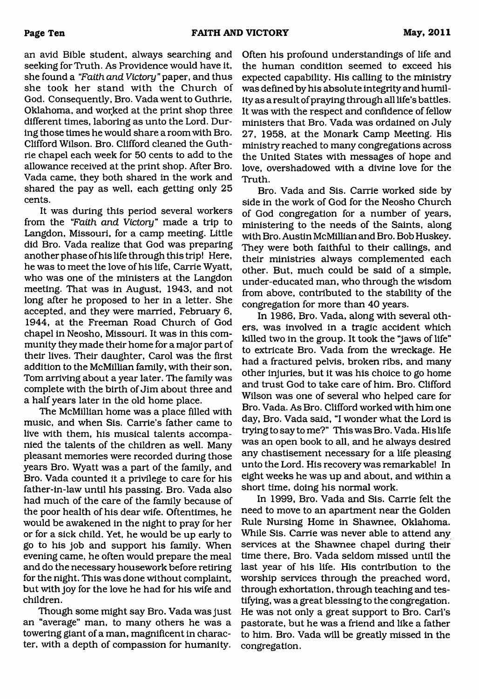an avid Bible student, always searching and seeking for Truth. As Providence would have it, she found a *"Faith and Victory* " paper, and thus she took her stand with the Church of God. Consequently, Bro. Vada went to Guthrie, Oklahoma, and worked at the print shop three different times, laboring as unto the Lord. During those times he would share a room with Bro. Clifford Wilson. Bro. Clifford cleaned the Guthrie chapel each week for 50 cents to add to the allowance received at the print shop. After Bro. Vada came, they both shared in the work and shared the pay as well, each getting only 25 cents.

It was during this period several workers from the *"Faith and Victory"* made a trip to Langdon, Missouri, for a camp meeting. Little did Bro. Vada realize that God was preparing another phase of his life through this trip! Here, he was to meet the love of his life, Carrie Wyatt, who was one of the ministers at the Langdon meeting. That was in August, 1943, and not long after he proposed to her in a letter. She accepted, and they were married, February 6, 1944, at the Freeman Road Church of God chapel in Neosho, Missouri. It was in this community they made their home for a major part of their lives. Their daughter, Carol was the first addition to the McMillian family, with their son, Tom arriving about a year later. The family was complete with the birth of Jim about three and a half years later in the old home place.

The McMillian home was a place filled with music, and when Sis. Carrie's father came to live with them, his musical talents accompanied the talents of the children as well. Many pleasant memories were recorded during those years Bro. Wyatt was a part of the family, and Bro. Vada counted it a privilege to care for his father-in-law until his passing. Bro. Vada also had much of the care of the family because of the poor health of his dear wife. Oftentimes, he would be awakened in the night to pray for her or for a sick child. Yet, he would be up early to go to his job and support his family. When evening came, he often would prepare the meal and do the necessary housework before retiring for the night. This was done without complaint, but with joy for the love he had for his wife and children.

Though some might say Bro. Vada was just an "average" man, to many others he was a towering giant of a man, magnificent in character, with a depth of compassion for humanity.

Often his profound understandings of life and the human condition seemed to exceed his expected capability. His calling to the ministry was defined by his absolute integrity and humility as a result of praying through all life's battles. It was with the respect and confidence of fellow ministers that Bro. Vada was ordained on July 27, 1958, at the Monark Camp Meeting. His ministry reached to many congregations across the United States with messages of hope and love, overshadowed with a divine love for the Truth.

Bro. Vada and Sis. Carrie worked side by side in the work of God for the Neosho Church of God congregation for a number of years, ministering to the needs of the Saints, along with Bro. Austin McMillian and Bro. Bob Huskey. They were both faithful to their callings, and their ministries always complemented each other. But, much could be said of a simple, under-educated man, who through the wisdom from above, contributed to the stability of the congregation for more than 40 years.

In 1986, Bro. Vada, along with several others, was involved in a tragic accident which killed two in the group. It took the "jaws of life" to extricate Bro. Vada from the wreckage. He had a fractured pelvis, broken ribs, and many other injuries, but it was his choice to go home and trust God to take care of him. Bro. Clifford Wilson was one of several who helped care for Bro. Vada. As Bro. Clifford worked with him one day, Bro. Vada said, "I wonder what the Lord is trying to say to me?" This was Bro. Vada. His life was an open book to all, and he always desired any chastisement necessary for a life pleasing unto the Lord. His recovery was remarkable! In eight weeks he was up and about, and within a short time, doing his normal work.

In 1999, Bro. Vada and Sis. Carrie felt the need to move to an apartment near the Golden Rule Nursing Home in Shawnee, Oklahoma. While Sis. Carrie was never able to attend any services at the Shawnee chapel during their time there, Bro. Vada seldom missed until the last year of his life. His contribution to the worship services through the preached word, through exhortation, through teaching and testifying, was a great blessing to the congregation. He was not only a great support to Bro. Carl's pastorate, but he was a friend and like a father to him. Bro. Vada will be greatly missed in the congregation.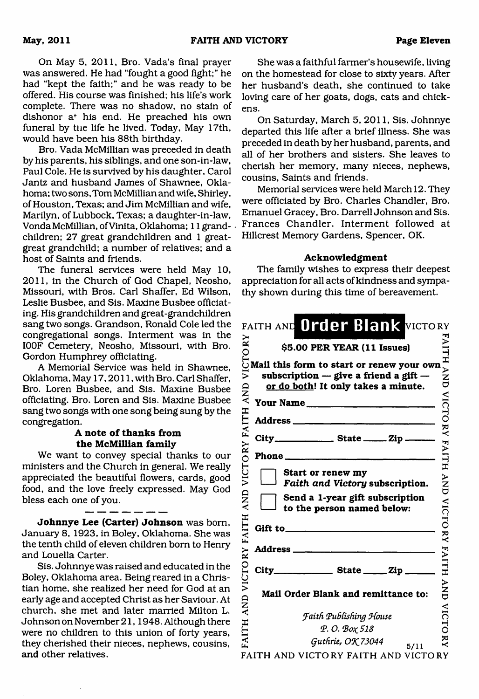On May 5, 2011, Bro. Vada's final prayer was answered. He had "fought a good fight;" he had "kept the faith;" and he was ready to be offered. His course was finished; his life's work complete. There was no shadow, no stain of dishonor af his end. He preached his own funeral by tne life he lived. Today, May 17th, would have been his 88th birthday.

Bro. Vada McMillian was preceded in death by his parents, his siblings, and one son-in-law, Paul Cole. He is survived by his daughter, Carol Jantz and husband James of Shawnee, Oklahoma; two sons, Tom McMillian and wife, Shirley, of Houston, Texas; and Jim McMillian and wife, Marilyn, of Lubbock, Texas; a daughter-in-law, Vonda McMillian, ofVinita, Oklahoma; 11 grandchildren; 27 great grandchildren and 1 greatgreat grandchild; a number of relatives; and a host of Saints and friends.

The funeral services were held May 10, 2011, in the Church of God Chapel, Neosho, Missouri, with Bros. Carl Shaffer, Ed Wilson, Leslie Busbee, and Sis. Maxine Busbee officiating. His grandchildren and great-grandchildren sang two songs. Grandson, Ronald Cole led the congregational songs. Interment was in the I00F Cemetery, Neosho, Missouri, with Bro. Gordon Humphrey officiating.

A Memorial Service was held in Shawnee, Oklahoma, May 17,2011, with Bro. Carl Shaffer, Bro. Loren Busbee, and Sis. Maxine Busbee officiating. Bro. Loren and Sis. Maxine Busbee sang two songs with one song being sung by the congregation.

#### A note of thanks from **the McMillian family**

We want to convey special thanks to our ministers and the Church in general. We really appreciated the beautiful flowers, cards, good food, and the love freely expressed. May God bless each one of you.

**Johnnye Lee (Carter) Johnson** was born, January 8, 1923, in Boley, Oklahoma. She was the tenth child of eleven children bom to Henry and Louella Carter.

Sis. Johnnye was raised and educated in the Boley, Oklahoma area. Being reared in a Christian home, she realized her need for God at an early age and accepted Christ as her Saviour. At church, she met and later married Milton L. Johnson on November 21,1948. Although there were no children to this union of forty years, they cherished their nieces, nephews, cousins, **and** other relatives.

She was a faithful farmer's housewife, living on the homestead for close to sixty years. After her husband's death, she continued to take loving care of her goats, dogs, cats and chickens.

On Saturday, March 5, 2011, Sis. Johnnye departed this life after a brief illness. She was preceded in death by her husband, parents, and all of her brothers and sisters. She leaves to cherish her memory, many nieces, nephews, cousins, Saints and friends.

Memorial services were held March 12. They were officiated by Bro. Charles Chandler, Bro. Emanuel Gracey, Bro. Darrell Johnson and Sis. Frances Chandler. Interment followed at Hillcrest Memory Gardens, Spencer, OK.

#### **Acknowledgment**

The family wishes to express their deepest appreciation for all acts of kindness and sympathy shown during this time of bereavement.

|                                           | FAITH AND Order Blank VICTORY                                                                                                              |                           |
|-------------------------------------------|--------------------------------------------------------------------------------------------------------------------------------------------|---------------------------|
| CTORY                                     | \$5.00 PER YEAR (11 Issues)                                                                                                                |                           |
| $\tilde{\mathbf{z}}$<br>VICTORY FAITH AND | Mail this form to start or renew your own<br>subscription $-$ give a friend a gift $-$<br>or do both! It only takes a minute.<br>Your Name | <b>FAITH AND</b><br>VICTO |
|                                           |                                                                                                                                            |                           |
|                                           | City_____________________ State ________ Zip ______                                                                                        |                           |
|                                           | Phone                                                                                                                                      | RY FAITH                  |
| <b>AND</b>                                | Start or renew my<br>Faith and Victory subscription.<br>Send a 1-year gift subscription<br>to the person named below:                      | $\sum_{i=1}^{n}$          |
| <b>FAITH</b>                              | Gift to $\qquad \qquad$ Gift to $\qquad \qquad$                                                                                            | <b>VICTORY FAITH</b>      |
|                                           |                                                                                                                                            |                           |
| VICTORY                                   |                                                                                                                                            |                           |
| <b>QNA</b>                                | Mail Order Blank and remittance to:                                                                                                        | <b>ANA</b>                |
|                                           | Faith Publishing House                                                                                                                     | VICTC                     |
| <b>FAITH</b>                              | <b>P. O. Βοχ 518</b>                                                                                                                       |                           |
|                                           | Guthrie, OK 73044<br>5/11<br>FAITH AND VICTORY FAITH AND VICTORY                                                                           | $\check{\mathbf{z}}$      |